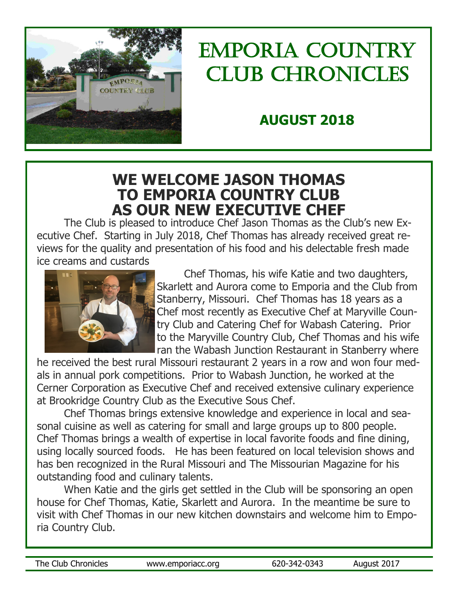

# Emporia country Club Chronicles

# **AUGUST 2018**

# **WE WELCOME JASON THOMAS TO EMPORIA COUNTRY CLUB AS OUR NEW EXECUTIVE CHEF**

The Club is pleased to introduce Chef Jason Thomas as the Club's new Executive Chef. Starting in July 2018, Chef Thomas has already received great reviews for the quality and presentation of his food and his delectable fresh made ice creams and custards



Chef Thomas, his wife Katie and two daughters, Skarlett and Aurora come to Emporia and the Club from Stanberry, Missouri. Chef Thomas has 18 years as a Chef most recently as Executive Chef at Maryville Country Club and Catering Chef for Wabash Catering. Prior to the Maryville Country Club, Chef Thomas and his wife ran the Wabash Junction Restaurant in Stanberry where

he received the best rural Missouri restaurant 2 years in a row and won four medals in annual pork competitions. Prior to Wabash Junction, he worked at the Cerner Corporation as Executive Chef and received extensive culinary experience at Brookridge Country Club as the Executive Sous Chef.

Chef Thomas brings extensive knowledge and experience in local and seasonal cuisine as well as catering for small and large groups up to 800 people. Chef Thomas brings a wealth of expertise in local favorite foods and fine dining, using locally sourced foods. He has been featured on local television shows and has ben recognized in the Rural Missouri and The Missourian Magazine for his outstanding food and culinary talents.

When Katie and the girls get settled in the Club will be sponsoring an open house for Chef Thomas, Katie, Skarlett and Aurora. In the meantime be sure to visit with Chef Thomas in our new kitchen downstairs and welcome him to Emporia Country Club.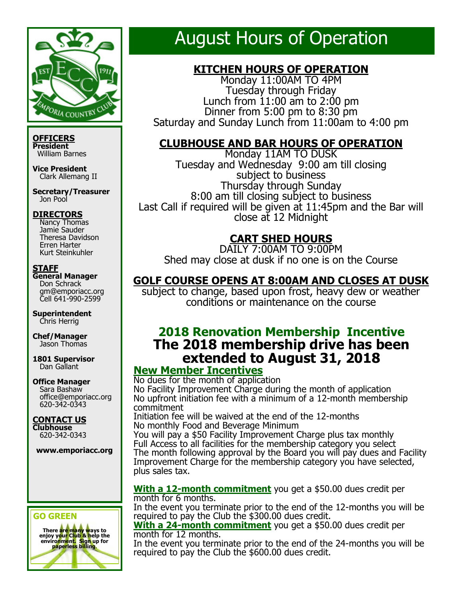

**OFFICERS President** William Barnes

**Vice President** Clark Allemang II

**Secretary/Treasurer** Jon Pool

#### **DIRECTORS**

 Nancy Thomas Jamie Sauder Theresa Davidson Erren Harter Kurt Steinkuhler

#### **STAFF**

**General Manager** Don Schrack gm@emporiacc.org Cell 641-990-2599

**Superintendent** Chris Herrig

**Chef/Manager** Jason Thomas

**1801 Supervisor** Dan Gallant

**Office Manager**

 Sara Bashaw office@emporiacc.org 620-342-0343

**CONTACT US Clubhouse** 620-342-0343

**www.emporiacc.org**

#### **GO GREEN**



# August Hours of Operation

## **KITCHEN HOURS OF OPERATION**

Monday 11:00AM TO 4PM Tuesday through Friday Lunch from 11:00 am to 2:00 pm Dinner from  $5:00$  pm to  $8:30$  pm Saturday and Sunday Lunch from 11:00am to 4:00 pm

#### **CLUBHOUSE AND BAR HOURS OF OPERATION**

Monday 11AM TO DUSK Tuesday and Wednesday 9:00 am till closing subject to business Thursday through Sunday 8:00 am till closing subject to business Last Call if required will be given at 11:45pm and the Bar will close at 12 Midnight

## **CART SHED HOURS**

DAILY 7:00AM TO 9:00PM Shed may close at dusk if no one is on the Course

## **GOLF COURSE OPENS AT 8:00AM AND CLOSES AT DUSK**

subject to change, based upon frost, heavy dew or weather conditions or maintenance on the course

## **2018 Renovation Membership Incentive The 2018 membership drive has been extended to August 31, 2018**

## **New Member Incentives**

No dues for the month of application No Facility Improvement Charge during the month of application No upfront initiation fee with a minimum of a 12-month membership commitment

Initiation fee will be waived at the end of the 12-months No monthly Food and Beverage Minimum

You will pay a \$50 Facility Improvement Charge plus tax monthly Full Access to all facilities for the membership category you select The month following approval by the Board you will pay dues and Facility Improvement Charge for the membership category you have selected, plus sales tax.

#### **With a 12-month commitment** you get a \$50.00 dues credit per month for 6 months.

In the event you terminate prior to the end of the 12-months you will be required to pay the Club the \$300.00 dues credit.

**With a 24-month commitment** you get a \$50.00 dues credit per month for 12 months.

In the event you terminate prior to the end of the 24-months you will be required to pay the Club the \$600.00 dues credit.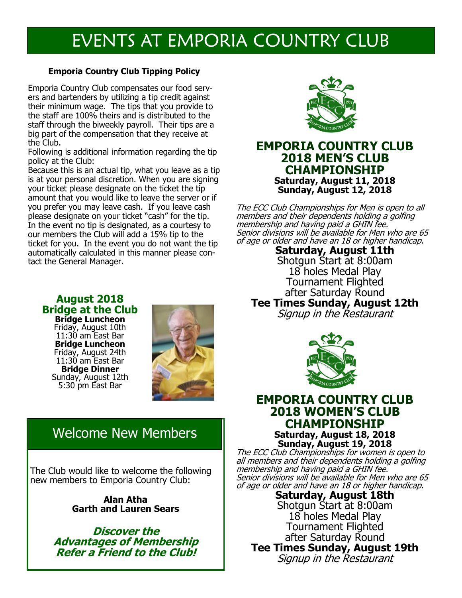# EVENTS AT EMPORIA COUNTRY CLUB

#### **Emporia Country Club Tipping Policy**

Emporia Country Club compensates our food servers and bartenders by utilizing a tip credit against their minimum wage. The tips that you provide to the staff are 100% theirs and is distributed to the staff through the biweekly payroll. Their tips are a big part of the compensation that they receive at the Club.

Following is additional information regarding the tip policy at the Club:

Because this is an actual tip, what you leave as a tip is at your personal discretion. When you are signing your ticket please designate on the ticket the tip amount that you would like to leave the server or if you prefer you may leave cash. If you leave cash please designate on your ticket "cash" for the tip. In the event no tip is designated, as a courtesy to our members the Club will add a 15% tip to the ticket for you. In the event you do not want the tip automatically calculated in this manner please contact the General Manager.



#### **EMPORIA COUNTRY CLUB 2018 MEN'S CLUB CHAMPIONSHIP Saturday, August 11, 2018 Sunday, August 12, 2018**

The ECC Club Championships for Men is open to all members and their dependents holding a golfing membership and having paid a GHIN fee. Senior divisions will be available for Men who are 65 of age or older and have an 18 or higher handicap.

> **Saturday, August 11th** Shotgun Start at 8:00am 18 holes Medal Play Tournament Flighted after Saturday Round

**Tee Times Sunday, August 12th** Signup in the Restaurant



#### **EMPORIA COUNTRY CLUB 2018 WOMEN'S CLUB CHAMPIONSHIP Saturday, August 18, 2018 Sunday, August 19, 2018**

The ECC Club Championships for women is open to all members and their dependents holding a golfing membership and having paid a GHIN fee. Senior divisions will be available for Men who are 65 of age or older and have an 18 or higher handicap.

**Saturday, August 18th** Shotgun Start at 8:00am 18 holes Medal Play Tournament Flighted after Saturday Round **Tee Times Sunday, August 19th** Signup in the Restaurant

### **August 2018 Bridge at the Club**

**Bridge Luncheon** Friday, August 10th 11:30 am East Bar **Bridge Luncheon**  Friday, August 24th 11:30 am East Bar **Bridge Dinner** Sunday, August 12th 5:30 pm East Bar



# Welcome New Members

The Club would like to welcome the following new members to Emporia Country Club:

> **Alan Atha Garth and Lauren Sears**

**Discover the Advantages of Membership Refer a Friend to the Club!**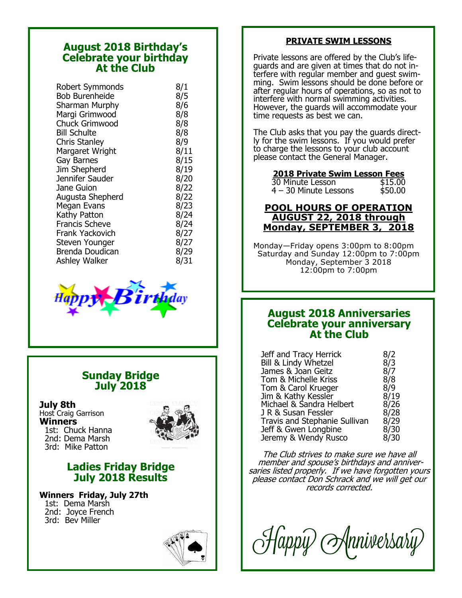#### **August 2018 Birthday's Celebrate your birthday At the Club**

| Robert Symmonds       | 8/1  |
|-----------------------|------|
| <b>Bob Burenheide</b> | 8/5  |
| Sharman Murphy        | 8/6  |
| Margi Grimwood        | 8/8  |
| <b>Chuck Grimwood</b> | 8/8  |
| <b>Bill Schulte</b>   | 8/8  |
| <b>Chris Stanley</b>  | 8/9  |
| Margaret Wright       | 8/11 |
| Gay Barnes            | 8/15 |
| Jim Shepherd          | 8/19 |
| Jennifer Sauder       | 8/20 |
| Jane Guion            | 8/22 |
| Augusta Shepherd      | 8/22 |
| Megan Evans           | 8/23 |
| Kathy Patton          | 8/24 |
| <b>Francis Scheve</b> | 8/24 |
| Frank Yackovich       | 8/27 |
| Steven Younger        | 8/27 |
| Brenda Doudican       | 8/29 |
| <b>Ashley Walker</b>  | 8/31 |



#### **Sunday Bridge July 2018**

#### **July 8th**

Host Craig Garrison **Winners** 1st: Chuck Hanna 2nd: Dema Marsh 3rd: Mike Patton



#### **Ladies Friday Bridge July 2018 Results**

**Winners Friday, July 27th** 1st: Dema Marsh 2nd: Joyce French 3rd: Bev Miller



#### **PRIVATE SWIM LESSONS**

Private lessons are offered by the Club's lifeguards and are given at times that do not interfere with regular member and guest swimming. Swim lessons should be done before or after regular hours of operations, so as not to interfere with normal swimming activities. However, the guards will accommodate your time requests as best we can.

The Club asks that you pay the guards directly for the swim lessons. If you would prefer to charge the lessons to your club account please contact the General Manager.

# **2018 Private Swim Lesson Fees**

30 Minute Lesson \$15.00  $4 - 30$  Minute Lessons

#### **POOL HOURS OF OPERATION AUGUST 22, 2018 through Monday, SEPTEMBER 3, 2018**

Monday—Friday opens 3:00pm to 8:00pm Saturday and Sunday 12:00pm to 7:00pm Monday, September 3 2018 12:00pm to 7:00pm

#### **August 2018 Anniversaries Celebrate your anniversary At the Club**

| Jeff and Tracy Herrick        | 8/2  |
|-------------------------------|------|
| Bill & Lindy Whetzel          | 8/3  |
| James & Joan Geitz            | 8/7  |
| Tom & Michelle Kriss          | 8/8  |
| Tom & Carol Krueger           | 8/9  |
| Jim & Kathy Kessler           | 8/19 |
| Michael & Sandra Helbert      | 8/26 |
| J R & Susan Fessler           | 8/28 |
| Travis and Stephanie Sullivan | 8/29 |
| Jeff & Gwen Longbine          | 8/30 |
| Jeremy & Wendy Rusco          | 8/30 |

The Club strives to make sure we have all member and spouse's birthdays and anniversaries listed properly. If we have forgotten yours please contact Don Schrack and we will get our records corrected.

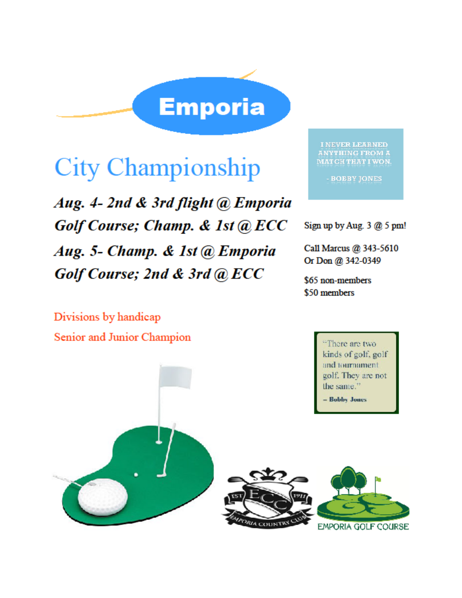

# **City Championship**

Aug. 4-2nd & 3rd flight @ Emporia Golf Course; Champ. & 1st @ ECC Aug. 5- Champ. & 1st @ Emporia Golf Course; 2nd & 3rd @ ECC

**I NEVER LEARNED ANYTHING FROM A** MATCH THAT I WON.

- BOBBY JONES

Sign up by Aug.  $3$   $@$  5 pm!

Call Marcus @ 343-5610 Or Don @ 342-0349

\$65 non-members \$50 members

Divisions by handicap Senior and Junior Champion

There are two kinds of golf, golf and tournament. golf. They are not the same." - Bobby Jones